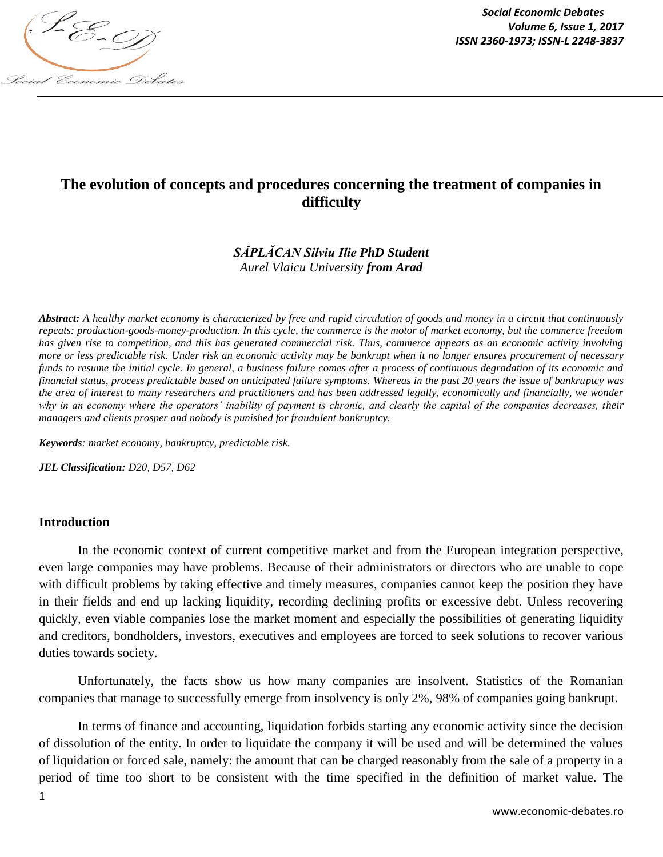

*Social Economic Debates Volume 6, Issue 1, 2017*

# **The evolution of concepts and procedures concerning the treatment of companies in difficulty**

# *SĂPLĂCAN Silviu Ilie PhD Student [Aurel Vlaicu University](https://www.facebook.com/UAV.Arad/) from Arad*

*Abstract: A healthy market economy is characterized by free and rapid circulation of goods and money in a circuit that continuously repeats: production-goods-money-production. In this cycle, the commerce is the motor of market economy, but the commerce freedom has given rise to competition, and this has generated commercial risk. Thus, commerce appears as an economic activity involving more or less predictable risk. Under risk an economic activity may be bankrupt when it no longer ensures procurement of necessary funds to resume the initial cycle. In general, a business failure comes after a process of continuous degradation of its economic and financial status, process predictable based on anticipated failure symptoms. Whereas in the past 20 years the issue of bankruptcy was the area of interest to many researchers and practitioners and has been addressed legally, economically and financially, we wonder why in an economy where the operators' inability of payment is chronic, and clearly the capital of the companies decreases, their managers and clients prosper and nobody is punished for fraudulent bankruptcy.*

*Keywords: market economy, bankruptcy, predictable risk.* 

*JEL Classification: D20, D57, D62*

#### **Introduction**

In the economic context of current competitive market and from the European integration perspective, even large companies may have problems. Because of their administrators or directors who are unable to cope with difficult problems by taking effective and timely measures, companies cannot keep the position they have in their fields and end up lacking liquidity, recording declining profits or excessive debt. Unless recovering quickly, even viable companies lose the market moment and especially the possibilities of generating liquidity and creditors, bondholders, investors, executives and employees are forced to seek solutions to recover various duties towards society.

Unfortunately, the facts show us how many companies are insolvent. Statistics of the Romanian companies that manage to successfully emerge from insolvency is only 2%, 98% of companies going bankrupt.

In terms of finance and accounting, liquidation forbids starting any economic activity since the decision of dissolution of the entity. In order to liquidate the company it will be used and will be determined the values of liquidation or forced sale, namely: the amount that can be charged reasonably from the sale of a property in a period of time too short to be consistent with the time specified in the definition of market value. The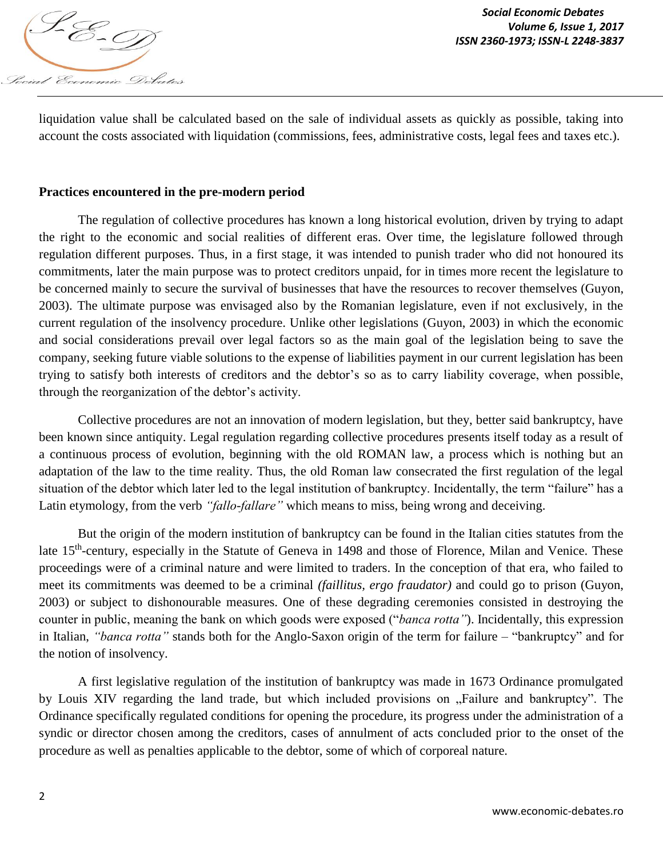

liquidation value shall be calculated based on the sale of individual assets as quickly as possible, taking into account the costs associated with liquidation (commissions, fees, administrative costs, legal fees and taxes etc.).

## **Practices encountered in the pre-modern period**

The regulation of collective procedures has known a long historical evolution, driven by trying to adapt the right to the economic and social realities of different eras. Over time, the legislature followed through regulation different purposes. Thus, in a first stage, it was intended to punish trader who did not honoured its commitments, later the main purpose was to protect creditors unpaid, for in times more recent the legislature to be concerned mainly to secure the survival of businesses that have the resources to recover themselves (Guyon, 2003). The ultimate purpose was envisaged also by the Romanian legislature, even if not exclusively, in the current regulation of the insolvency procedure. Unlike other legislations (Guyon, 2003) in which the economic and social considerations prevail over legal factors so as the main goal of the legislation being to save the company, seeking future viable solutions to the expense of liabilities payment in our current legislation has been trying to satisfy both interests of creditors and the debtor's so as to carry liability coverage, when possible, through the reorganization of the debtor's activity.

Collective procedures are not an innovation of modern legislation, but they, better said bankruptcy, have been known since antiquity. Legal regulation regarding collective procedures presents itself today as a result of a continuous process of evolution, beginning with the old ROMAN law, a process which is nothing but an adaptation of the law to the time reality. Thus, the old Roman law consecrated the first regulation of the legal situation of the debtor which later led to the legal institution of bankruptcy. Incidentally, the term "failure" has a Latin etymology, from the verb *"fallo-fallare"* which means to miss, being wrong and deceiving.

But the origin of the modern institution of bankruptcy can be found in the Italian cities statutes from the late 15<sup>th</sup>-century, especially in the Statute of Geneva in 1498 and those of Florence, Milan and Venice. These proceedings were of a criminal nature and were limited to traders. In the conception of that era, who failed to meet its commitments was deemed to be a criminal *(faillitus, ergo fraudator)* and could go to prison (Guyon, 2003) or subject to dishonourable measures. One of these degrading ceremonies consisted in destroying the counter in public, meaning the bank on which goods were exposed ("*banca rotta"*). Incidentally, this expression in Italian, *"banca rotta"* stands both for the Anglo-Saxon origin of the term for failure – "bankruptcy" and for the notion of insolvency.

A first legislative regulation of the institution of bankruptcy was made in 1673 Ordinance promulgated by Louis XIV regarding the land trade, but which included provisions on "Failure and bankruptcy". The Ordinance specifically regulated conditions for opening the procedure, its progress under the administration of a syndic or director chosen among the creditors, cases of annulment of acts concluded prior to the onset of the procedure as well as penalties applicable to the debtor, some of which of corporeal nature.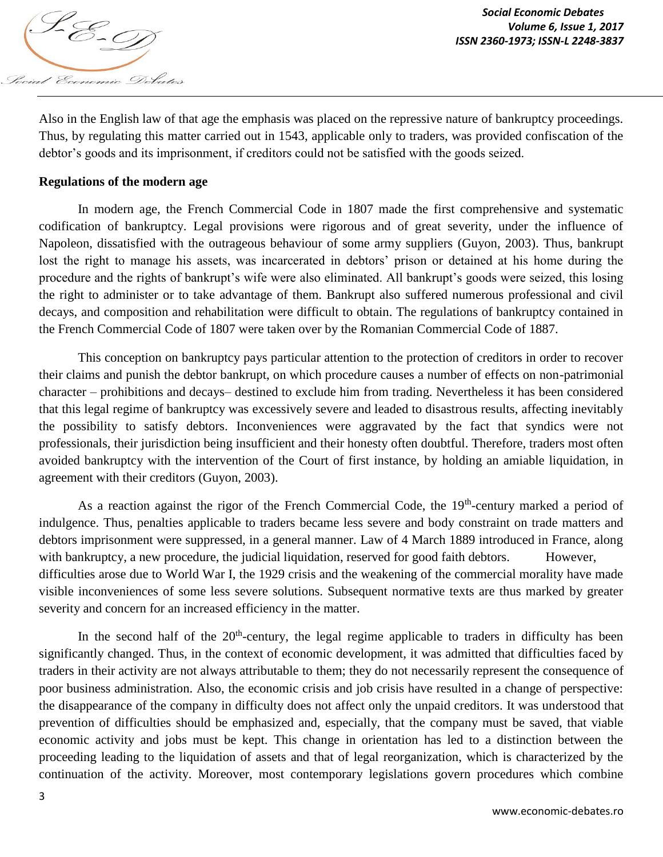

Also in the English law of that age the emphasis was placed on the repressive nature of bankruptcy proceedings. Thus, by regulating this matter carried out in 1543, applicable only to traders, was provided confiscation of the debtor's goods and its imprisonment, if creditors could not be satisfied with the goods seized.

## **Regulations of the modern age**

In modern age, the French Commercial Code in 1807 made the first comprehensive and systematic codification of bankruptcy. Legal provisions were rigorous and of great severity, under the influence of Napoleon, dissatisfied with the outrageous behaviour of some army suppliers (Guyon, 2003). Thus, bankrupt lost the right to manage his assets, was incarcerated in debtors' prison or detained at his home during the procedure and the rights of bankrupt's wife were also eliminated. All bankrupt's goods were seized, this losing the right to administer or to take advantage of them. Bankrupt also suffered numerous professional and civil decays, and composition and rehabilitation were difficult to obtain. The regulations of bankruptcy contained in the French Commercial Code of 1807 were taken over by the Romanian Commercial Code of 1887.

This conception on bankruptcy pays particular attention to the protection of creditors in order to recover their claims and punish the debtor bankrupt, on which procedure causes a number of effects on non-patrimonial character – prohibitions and decays– destined to exclude him from trading. Nevertheless it has been considered that this legal regime of bankruptcy was excessively severe and leaded to disastrous results, affecting inevitably the possibility to satisfy debtors. Inconveniences were aggravated by the fact that syndics were not professionals, their jurisdiction being insufficient and their honesty often doubtful. Therefore, traders most often avoided bankruptcy with the intervention of the Court of first instance, by holding an amiable liquidation, in agreement with their creditors (Guyon, 2003).

As a reaction against the rigor of the French Commercial Code, the  $19<sup>th</sup>$ -century marked a period of indulgence. Thus, penalties applicable to traders became less severe and body constraint on trade matters and debtors imprisonment were suppressed, in a general manner. Law of 4 March 1889 introduced in France, along with bankruptcy, a new procedure, the judicial liquidation, reserved for good faith debtors. However, difficulties arose due to World War I, the 1929 crisis and the weakening of the commercial morality have made visible inconveniences of some less severe solutions. Subsequent normative texts are thus marked by greater severity and concern for an increased efficiency in the matter.

In the second half of the  $20<sup>th</sup>$ -century, the legal regime applicable to traders in difficulty has been significantly changed. Thus, in the context of economic development, it was admitted that difficulties faced by traders in their activity are not always attributable to them; they do not necessarily represent the consequence of poor business administration. Also, the economic crisis and job crisis have resulted in a change of perspective: the disappearance of the company in difficulty does not affect only the unpaid creditors. It was understood that prevention of difficulties should be emphasized and, especially, that the company must be saved, that viable economic activity and jobs must be kept. This change in orientation has led to a distinction between the proceeding leading to the liquidation of assets and that of legal reorganization, which is characterized by the continuation of the activity. Moreover, most contemporary legislations govern procedures which combine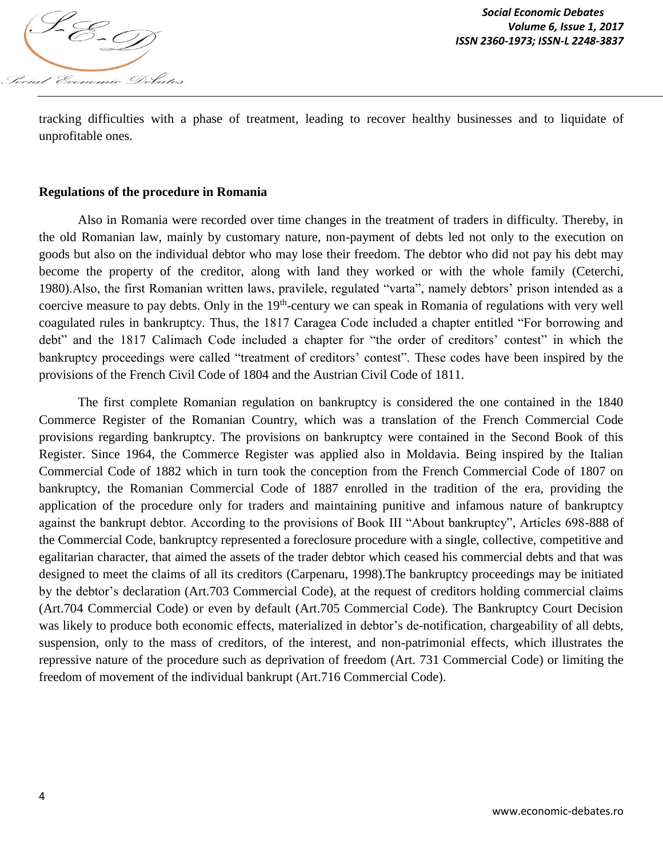

tracking difficulties with a phase of treatment, leading to recover healthy businesses and to liquidate of unprofitable ones.

#### **Regulations of the procedure in Romania**

Also in Romania were recorded over time changes in the treatment of traders in difficulty. Thereby, in the old Romanian law, mainly by customary nature, non-payment of debts led not only to the execution on goods but also on the individual debtor who may lose their freedom. The debtor who did not pay his debt may become the property of the creditor, along with land they worked or with the whole family (Ceterchi, 1980).Also, the first Romanian written laws, pravilele, regulated "varta", namely debtors' prison intended as a coercive measure to pay debts. Only in the 19<sup>th</sup>-century we can speak in Romania of regulations with very well coagulated rules in bankruptcy. Thus, the 1817 Caragea Code included a chapter entitled "For borrowing and debt" and the 1817 Calimach Code included a chapter for "the order of creditors' contest" in which the bankruptcy proceedings were called "treatment of creditors' contest". These codes have been inspired by the provisions of the French Civil Code of 1804 and the Austrian Civil Code of 1811.

The first complete Romanian regulation on bankruptcy is considered the one contained in the 1840 Commerce Register of the Romanian Country, which was a translation of the French Commercial Code provisions regarding bankruptcy. The provisions on bankruptcy were contained in the Second Book of this Register. Since 1964, the Commerce Register was applied also in Moldavia. Being inspired by the Italian Commercial Code of 1882 which in turn took the conception from the French Commercial Code of 1807 on bankruptcy, the Romanian Commercial Code of 1887 enrolled in the tradition of the era, providing the application of the procedure only for traders and maintaining punitive and infamous nature of bankruptcy against the bankrupt debtor. According to the provisions of Book III "About bankruptcy", Articles 698-888 of the Commercial Code, bankruptcy represented a foreclosure procedure with a single, collective, competitive and egalitarian character, that aimed the assets of the trader debtor which ceased his commercial debts and that was designed to meet the claims of all its creditors (Carpenaru, 1998).The bankruptcy proceedings may be initiated by the debtor's declaration (Art.703 Commercial Code), at the request of creditors holding commercial claims (Art.704 Commercial Code) or even by default (Art.705 Commercial Code). The Bankruptcy Court Decision was likely to produce both economic effects, materialized in debtor's de-notification, chargeability of all debts, suspension, only to the mass of creditors, of the interest, and non-patrimonial effects, which illustrates the repressive nature of the procedure such as deprivation of freedom (Art. 731 Commercial Code) or limiting the freedom of movement of the individual bankrupt (Art.716 Commercial Code).